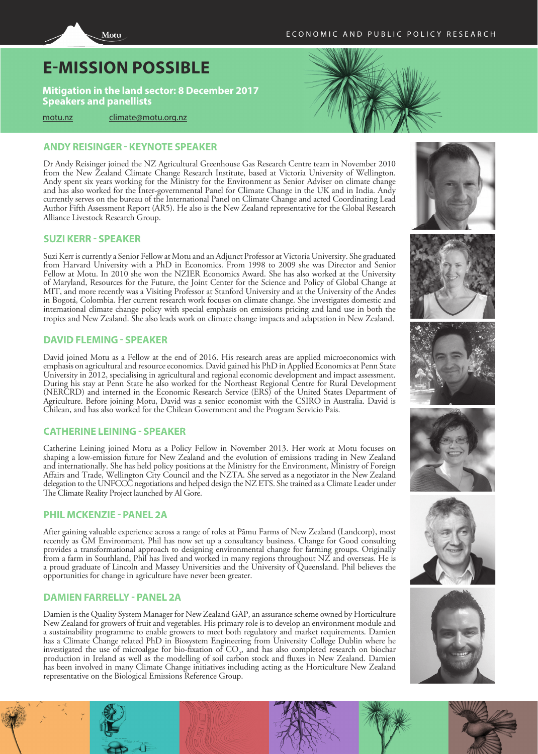# **E-MISSION POSSIBLE**

**Mitigation in the land sector: 8 December 2017 Speakers and panellists**

[motu.nz](http://motu.nz) [climate@motu.org.nz](mailto: climate@motu.org.nz)

# **ANDY REISINGER - KEYNOTE SPEAKER**

Dr Andy Reisinger joined the NZ Agricultural Greenhouse Gas Research Centre team in November 2010 from the New Zealand Climate Change Research Institute, based at Victoria University of Wellington. Andy spent six years working for the Ministry for the Environment as Senior Adviser on climate change and has also worked for the Inter-governmental Panel for Climate Change in the UK and in India. Andy currently serves on the bureau of the International Panel on Climate Change and acted Coordinating Lead Author Fifth Assessment Report (AR5). He also is the New Zealand representative for the Global Research Alliance Livestock Research Group.

# **SUZI KERR - SPEAKER**

Suzi Kerr is currently a Senior Fellow at Motu and an Adjunct Professor at Victoria University. She graduated from Harvard University with a PhD in Economics. From 1998 to 2009 she was Director and Senior Fellow at Motu. In 2010 she won the NZIER Economics Award. She has also worked at the University of Maryland, Resources for the Future, the Joint Center for the Science and Policy of Global Change at MIT, and more recently was a Visiting Professor at Stanford University and at the University of the Andes in Bogotá, Colombia. Her current research work focuses on climate change. She investigates domestic and international climate change policy with special emphasis on emissions pricing and land use in both the tropics and New Zealand. She also leads work on climate change impacts and adaptation in New Zealand.

# **DAVID FLEMING - SPEAKER**

David joined Motu as a Fellow at the end of 2016. His research areas are applied microeconomics with emphasis on agricultural and resource economics. David gained his PhD in Applied Economics at Penn State University in 2012, specialising in agricultural and regional economic development and impact assessment. During his stay at Penn State he also worked for the Northeast Regional Centre for Rural Development (NERCRD) and interned in the Economic Research Service (ERS) of the United States Department of Agriculture. Before joining Motu, David was a senior economist with the CSIRO in Australia. David is Chilean, and has also worked for the Chilean Government and the Program Servicio Pais.

# **CATHERINE LEINING - SPEAKER**

Catherine Leining joined Motu as a Policy Fellow in November 2013. Her work at Motu focuses on shaping a low-emission future for New Zealand and the evolution of emissions trading in New Zealand and internationally. She has held policy positions at the Ministry for the Environment, Ministry of Foreign Affairs and Trade, Wellington City Council and the NZTA. She served as a negotiator in the New Zealand delegation to the UNFCCC negotiations and helped design the NZ ETS. She trained as a Climate Leader under The Climate Reality Project launched by Al Gore.

# **PHIL MCKENZIE - PANEL 2A**

After gaining valuable experience across a range of roles at Pāmu Farms of New Zealand (Landcorp), most recently as GM Environment, Phil has now set up a consultancy business. Change for Good consulting provides a transformational approach to designing environmental change for farming groups. Originally from a farm in Southland, Phil has lived and worked in many regions throughout NZ and overseas. He is a proud graduate of Lincoln and Massey Universities and the University of Queensland. Phil believes the opportunities for change in agriculture have never been greater.

# **DAMIEN FARRELLY - PANEL 2A**

Damien is the Quality System Manager for New Zealand GAP, an assurance scheme owned by Horticulture New Zealand for growers of fruit and vegetables. His primary role is to develop an environment module and a sustainability programme to enable growers to meet both regulatory and market requirements. Damien has a Climate Change related PhD in Biosystem Engineering from University College Dublin where he investigated the use of microalgae for bio-fixation of  $CO<sub>2</sub>$ , and has also completed research on biochar production in Ireland as well as the modelling of soil carbon stock and fluxes in New Zealand. Damien has been involved in many Climate Change initiatives including acting as the Horticulture New Zealand representative on the Biological Emissions Reference Group.